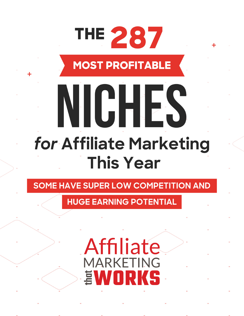# **MOST PROFITABLE**

THE 287

# NICHES for Affiliate Marketing **This Year**

**SOME HAVE SUPER LOW COMPETITION AND** 

**HUGE EARNING POTENTIAL** 

Affiliate

MARKETING

**EWORKS**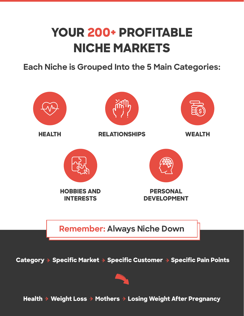# **YOUR 200+ PROFITABLE NICHE MARKETS**

**Each Niche is Grouped Into the 5 Main Categories:**



Category  $\rightarrow$  Specific Market  $\rightarrow$  Specific Customer  $\rightarrow$  Specific Pain Points



Health  $\rightarrow$  Weight Loss  $\rightarrow$  Mothers  $\rightarrow$  Losing Weight After Pregnancy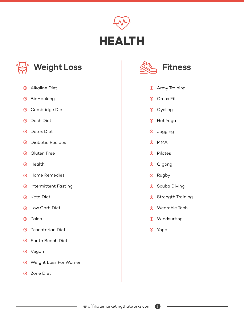



- Alkaline Diet
- <sup>O</sup> BioHacking
- Cambridge Diet  $\odot$
- Dash Diet  $\odot$
- **D** Detox Diet
- $\odot$ Diabetic Recipes
- Gluten Free  $\odot$
- $\odot$  Health:
- **8** Home Remedies
- <sup>O</sup> Intermittent Fasting
- Keto Diet  $\odot$
- **8** Low Carb Diet
- <sup>O</sup> Paleo
- **D** Pescatarian Diet
- $\odot$ South Beach Diet
- $\odot$  Vegan
- Weight Loss For Women
- **8** Zone Diet



- **8** Army Training
- **O** Cross Fit
- <sup>O</sup> Cycling
- Hot Yoga
- **8** Jogging
- **O** MMA
- <sup>O</sup> Pilates
- **O** Qigong
- <sup>O</sup> Rugby
- **8** Scuba Diving
- Strength Training
- Wearable Tech
- $\odot$  Windsurfing
- Yoga

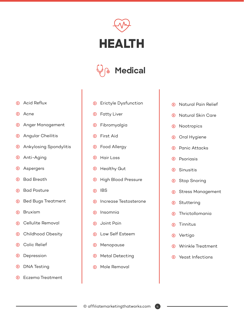



- **8** Acid Reflux
- ၜ Acne
- Anger Management  $\odot$
- $\odot$ Angular Cheilitis
- Ankylosing Spondylitis  $\odot$
- Anti-Aging  $\circledcirc$
- $\odot$ Aspergers
- Bad Breath  $\odot$
- Bad Posture ၈
- Bed Bugs Treatment  $\circledcirc$
- Bruxism  $\odot$
- Cellulite Removal  $\odot$
- Childhood Obesity  $\odot$
- Colic Relief  $\odot$
- Depression  $\boldsymbol{\odot}$
- DNA Testing  $\odot$
- Eczema Treatment  $\odot$
- Erictyle Dysfunction  $\odot$
- Fatty Liver  $\odot$
- Fibromyalgia  $\boldsymbol{\copyright}$
- $\odot$ First Aid
- $\odot$ Food Allergy
- $\odot$ Hair Loss
- $\odot$ Healthy Gut
- $\circledcirc$ High Blood Pressure
- IBS  $\odot$
- $\odot$ Increase Testosterone
- Insomnia  $\odot$
- Joint Pain  $\odot$
- Low Self Esteem ര
- Menopause  $\odot$
- $\circledcirc$ Metal Detecting
- Mole Removal  $\odot$
- Natural Pain Relief  $\odot$
- Natural Skin Care  $\odot$
- Nootropics  $\odot$
- Oral Hygiene  $\odot$
- Panic Attacks  $\odot$
- Psoriasis  $\odot$
- Sinusitis  $\odot$
- Stop Snoring  $\circledcirc$
- Stress Management  $\odot$
- Stuttering  $\circledcirc$
- Thrictollomania  $\odot$
- Tinnitus  $\odot$
- Vertigo  $\odot$
- Wrinkle Treatment ര
- <sup>O</sup> Yeast Infections

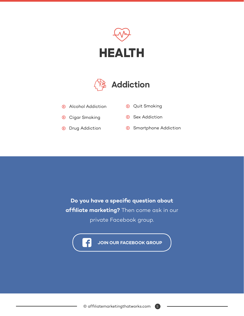



- **8** Alcohol Addiction
- <sup>O</sup> Quit Smoking
- <sup>O</sup> Cigar Smoking
- <sup>O</sup> Drug Addiction
- <sup>O</sup> Sex Addiction
- <sup>O</sup> Smartphone Addiction

**Do you have a specific question about affiliate marketing?** Then come ask in our private Facebook group.

**[JOIN OUR FACEBOOK GROUP](https://www.facebook.com/groups/affiliatemarketingthatworks)**

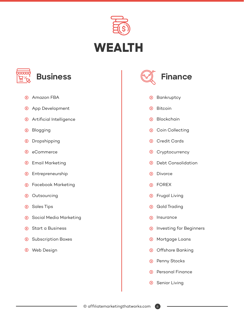



- **O** Amazon FBA
- <sup>O</sup> App Development
- **8** Artificial Intelligence
- Blogging  $\odot$
- <sup>O</sup> Dropshipping
- $\odot$ eCommerce
- **O** Email Marketing
- <sup>O</sup> Entrepreneurship
- **D** Facebook Marketing
- <sup>O</sup> Outsourcing
- Sales Tips  $\odot$
- Social Media Marketing
- **O** Start a Business
- <sup>O</sup> Subscription Boxes
- Web Design



- <sup>O</sup> Bankruptcy
- Bitcoin  $\odot$
- Blockchain  $\odot$
- <sup>O</sup> Coin Collecting
- **O** Credit Cards
- <sup>O</sup> Cryptocurrency
- <sup>O</sup> Debt Consolidation
- $\circledcirc$ Divorce
- **O** FOREX
- **8** Frugal Living
- Gold Trading  $\odot$
- Insurance  $\circledcirc$
- <sup>O</sup> Investing for Beginners
- Mortgage Loans  $\odot$
- O Offshore Banking
- <sup>O</sup> Penny Stocks
- **D** Personal Finance
- <sup>O</sup> Senior Living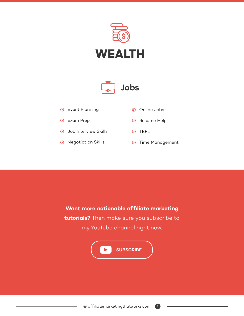



### **8** Event Planning

Exam Prep

**O** Job Interview Skills

<sup>O</sup> Negotiation Skills

**O** Online Jobs

Resume Help  $\odot$ 

**O** TEFL

**8** Time Management

**Want more actionable affiliate marketing tutorials?** Then make sure you subscribe to my YouTube channel right now.



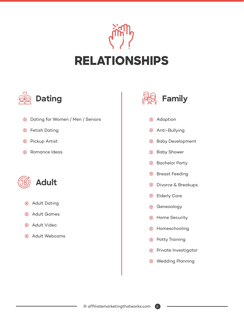



- **D** Dating for Women / Men / Seniors
- **<sup>O</sup>** Fetish Dating
- Pickup Artist  $\odot$
- Romance Ideas  $\odot$



- Adult Dating  $\odot$
- **8** Adult Games
- **8** Adult Video
- Adult Webcams



- <sup>O</sup> Adoption
- Anti-Bullying
- Baby Development  $\odot$
- Baby Shower  $\odot$
- Bachelor Party  $\odot$
- <sup>O</sup> Breast Feeding
- Divorce & Breakups  $\odot$
- <sup>O</sup> Elderly Care
- Geneaology  $\odot$
- **8** Home Security
- <sup>O</sup> Homeschooling
- **8** Potty Training
- **D** Private Investigator
- **8** Wedding Planning

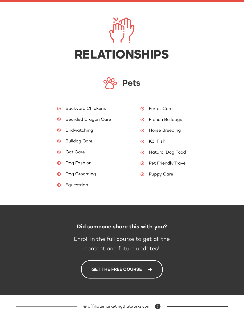



### Backyard Chickens  $\odot$

 $\odot$ Bearded Dragon Care

Birdwatching  $\odot$ 

Bulldog Care  $\odot$ 

Cat Care  $\odot$ 

Dog Fashion  $\odot$ 

 $\odot$ Dog Grooming

Equestrian  $\odot$ 

- **O** Ferret Care
- French Bulldogs
- **8** Horse Breeding
- **O** Koi Fish
- Natural Dog Food
- Pet Friendly Travel  $\odot$
- <sup>O</sup> Puppy Care

 $\rightarrow$ 

### **Did someone share this with you?**

Enroll in the full course to get all the content and future updates!

**[GET THE FREE COURSE](https://www.affiliatemarketingthatworks.com/free-course/)**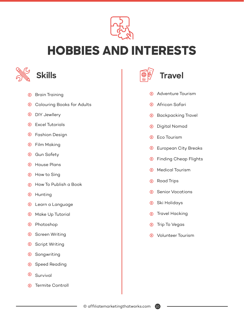

## **HOBBIES AND INTERESTS**



- Brain Training  $\odot$
- Colouring Books for Adults  $\circledcirc$
- DIY Jewllery  $\odot$
- $\odot$ Excel Tutorials
- **D** Fashion Design
- Film Making
- Gun Safety  $\odot$
- House Plans  $\odot$
- How to Sing  $\odot$
- How To Publish a Book  $\odot$
- $\odot$ Hunting
- **<sup>O</sup>** Learn a Language
- Make Up Tutorial  $\odot$
- Photoshop  $\odot$
- $\odot$ Screen Writing
- Script Writing  $\odot$
- Songwriting  $\odot$
- Speed Reading  $\odot$
- $\odot$ Survival
- $\odot$ Termite Controll



- Adventure Tourism ര
- African Safari  $\odot$
- Backpacking Travel  $\circledcirc$
- Digital Nomad  $\odot$
- $\odot$ Eco Tourism
- European City Breaks  $\odot$
- Finding Cheap Flights  $\odot$
- Medical Tourism  $\odot$
- Road Trips  $\odot$
- Senior Vacations  $\odot$
- Ski Holidays  $\odot$
- Travel Hacking  $\odot$
- Trip To Vegas  $\odot$
- $\odot$ Volunteer Tourism

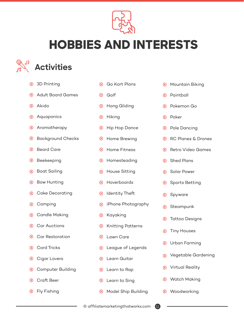

### **HOBBIES AND INTERESTS**



### <sup>3</sup>D Printing

- Adult Board Games  $\odot$
- Akido  $\odot$
- Aquaponics  $\odot$
- **O** Aromatherapy
- Background Checks  $\odot$
- Beard Care  $\odot$
- Beekeeping  $\circledcirc$
- Boat Sailing  $\odot$
- Bow Hunting  $\odot$
- Cake Decorating  $\odot$
- Camping  $\circledcirc$
- Candle Making  $\odot$
- Car Auctions  $\odot$
- $\odot$ Car Restoration
- Card Tricks  $\odot$
- Cigar Lovers  $\odot$
- $\circledcirc$ Computer Building
- **O** Craft Beer
- **O** Fly Fishing
- Go Kart Plans
- Golf  $\odot$
- Hang Gliding  $\odot$
- Hiking  $\odot$
- Hip Hop Dance  $\odot$
- Home Brewing  $\odot$
- Home Fitness  $\odot$
- Homesteading  $\odot$
- House Sitting  $\odot$
- Hoverboards  $\odot$
- Identity Theft  $\odot$
- iPhone Photography  $\odot$
- Kayaking  $\odot$
- Knitting Patterns  $\odot$
- **O** Lawn Care
- League of Legends  $\circledcirc$
- **D** Learn Guitar
- Learn to Rap  $\odot$
- $\odot$ Learn to Sing
- **8** Model Ship Building
- **8** Mountain Biking
- Paintball  $\odot$
- Pokemon Go  $\odot$
- Poker  $\odot$
- <sup>O</sup> Pole Dancing
- <sup>O</sup> RC Planes & Drones
- Retro Video Games  $\odot$
- Shed Plans  $\odot$
- Solar Power  $\odot$
- Sports Betting
- $\odot$ Spyware
- Steampunk  $\odot$
- Tattoo Designs  $\odot$
- Tiny Houses  $\odot$
- Urban Farming  $\odot$
- Vegetable Gardening  $\odot$
- Virtual Reality  $\odot$
- $\odot$ Watch Making
- **Woodworking**

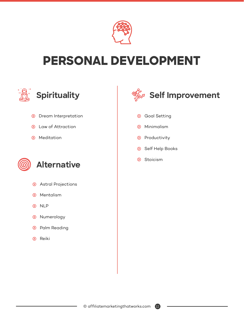

# **PERSONAL DEVELOPMENT**



- **D** Dream Interpretation
- **2** Law of Attraction
- $\odot$  Meditation



- <sup>O</sup> Astral Projections
- **8** Mentalism
- **O** NLP
- <sup>O</sup> Numerology
- $\odot$ Palm Reading
- **8** Reiki



- **O** Goal Setting
- $\odot$ Minimalism
- <sup>O</sup> Productivity
- Self Help Books  $\odot$
- <sup>O</sup> Stoicism